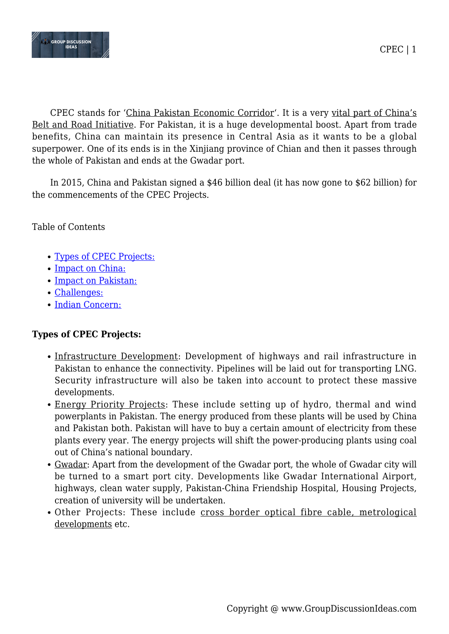

CPEC stands for 'China Pakistan Economic Corridor'. It is a very vital part of China's Belt and Road Initiative. For Pakistan, it is a huge developmental boost. Apart from trade benefits, China can maintain its presence in Central Asia as it wants to be a global superpower. One of its ends is in the Xinjiang province of Chian and then it passes through the whole of Pakistan and ends at the Gwadar port.

In 2015, China and Pakistan signed a \$46 billion deal (it has now gone to \$62 billion) for the commencements of the CPEC Projects.

Table of Contents

- [Types of CPEC Projects:](#page--1-0)
- [Impact on China:](#page--1-0)
- [Impact on Pakistan:](#page--1-0)
- [Challenges:](#page--1-0)
- [Indian Concern:](#page--1-0)

# **Types of CPEC Projects:**

- Infrastructure Development: Development of highways and rail infrastructure in Pakistan to enhance the connectivity. Pipelines will be laid out for transporting LNG. Security infrastructure will also be taken into account to protect these massive developments.
- Energy Priority Projects: These include setting up of hydro, thermal and wind powerplants in Pakistan. The energy produced from these plants will be used by China and Pakistan both. Pakistan will have to buy a certain amount of electricity from these plants every year. The energy projects will shift the power-producing plants using coal out of China's national boundary.
- Gwadar: Apart from the development of the Gwadar port, the whole of Gwadar city will be turned to a smart port city. Developments like Gwadar International Airport, highways, clean water supply, Pakistan-China Friendship Hospital, Housing Projects, creation of university will be undertaken.
- Other Projects: These include cross border optical fibre cable, metrological developments etc.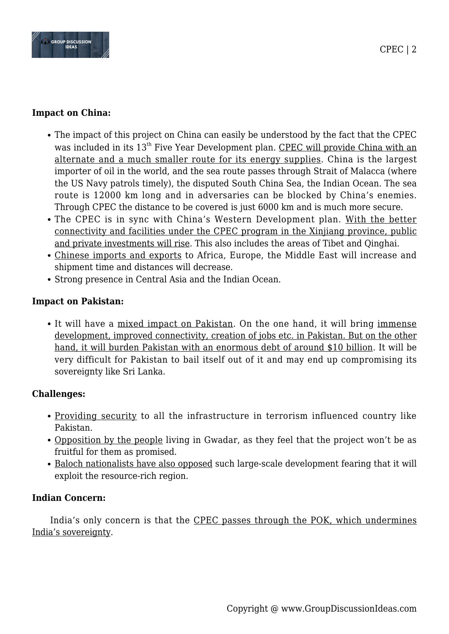

### **Impact on China:**

- The impact of this project on China can easily be understood by the fact that the CPEC was included in its 13<sup>th</sup> Five Year Development plan. CPEC will provide China with an alternate and a much smaller route for its energy supplies. China is the largest importer of oil in the world, and the sea route passes through Strait of Malacca (where the US Navy patrols timely), the disputed South China Sea, the Indian Ocean. The sea route is 12000 km long and in adversaries can be blocked by China's enemies. Through CPEC the distance to be covered is just 6000 km and is much more secure.
- The CPEC is in sync with China's Western Development plan. With the better connectivity and facilities under the CPEC program in the Xinjiang province, public and private investments will rise. This also includes the areas of Tibet and Qinghai.
- Chinese imports and exports to Africa, Europe, the Middle East will increase and shipment time and distances will decrease.
- Strong presence in Central Asia and the Indian Ocean.

# **Impact on Pakistan:**

• It will have a mixed impact on Pakistan. On the one hand, it will bring immense development, improved connectivity, creation of jobs etc. in Pakistan. But on the other hand, it will burden Pakistan with an enormous debt of around \$10 billion. It will be very difficult for Pakistan to bail itself out of it and may end up compromising its sovereignty like Sri Lanka.

# **Challenges:**

- Providing security to all the infrastructure in terrorism influenced country like Pakistan.
- Opposition by the people living in Gwadar, as they feel that the project won't be as fruitful for them as promised.
- Baloch nationalists have also opposed such large-scale development fearing that it will exploit the resource-rich region.

### **Indian Concern:**

India's only concern is that the CPEC passes through the POK, which undermines India's sovereignty.